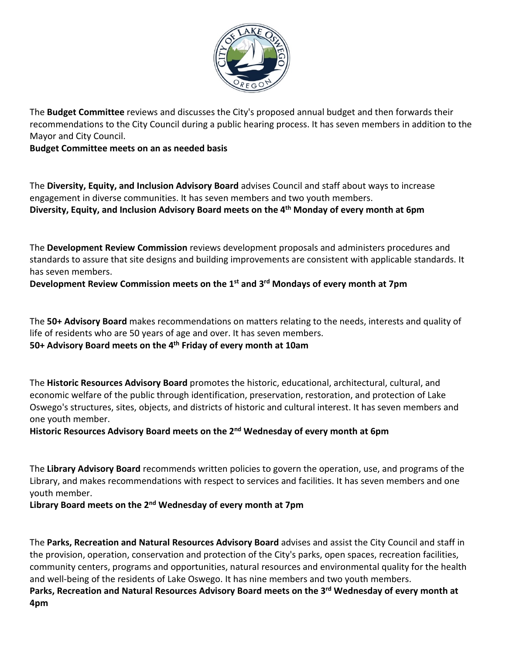

The **Budget Committee** reviews and discusses the City's proposed annual budget and then forwards their recommendations to the City Council during a public hearing process. It has seven members in addition to the Mayor and City Council.

**Budget Committee meets on an as needed basis**

The **Diversity, Equity, and Inclusion Advisory Board** advises Council and staff about ways to increase engagement in diverse communities. It has seven members and two youth members. **Diversity, Equity, and Inclusion Advisory Board meets on the 4th Monday of every month at 6pm**

The **Development Review Commission** reviews development proposals and administers procedures and standards to assure that site designs and building improvements are consistent with applicable standards. It has seven members.

## **Development Review Commission meets on the 1st and 3rd Mondays of every month at 7pm**

The **50+ Advisory Board** makes recommendations on matters relating to the needs, interests and quality of life of residents who are 50 years of age and over. It has seven members.

**50+ Advisory Board meets on the 4th Friday of every month at 10am**

The **Historic Resources Advisory Board** promotes the historic, educational, architectural, cultural, and economic welfare of the public through identification, preservation, restoration, and protection of Lake Oswego's structures, sites, objects, and districts of historic and cultural interest. It has seven members and one youth member.

## **Historic Resources Advisory Board meets on the 2nd Wednesday of every month at 6pm**

The **Library Advisory Board** recommends written policies to govern the operation, use, and programs of the Library, and makes recommendations with respect to services and facilities. It has seven members and one youth member.

## **Library Board meets on the 2nd Wednesday of every month at 7pm**

The **Parks, Recreation and Natural Resources Advisory Board** advises and assist the City Council and staff in the provision, operation, conservation and protection of the City's parks, open spaces, recreation facilities, community centers, programs and opportunities, natural resources and environmental quality for the health and well-being of the residents of Lake Oswego. It has nine members and two youth members.

**Parks, Recreation and Natural Resources Advisory Board meets on the 3rd Wednesday of every month at 4pm**